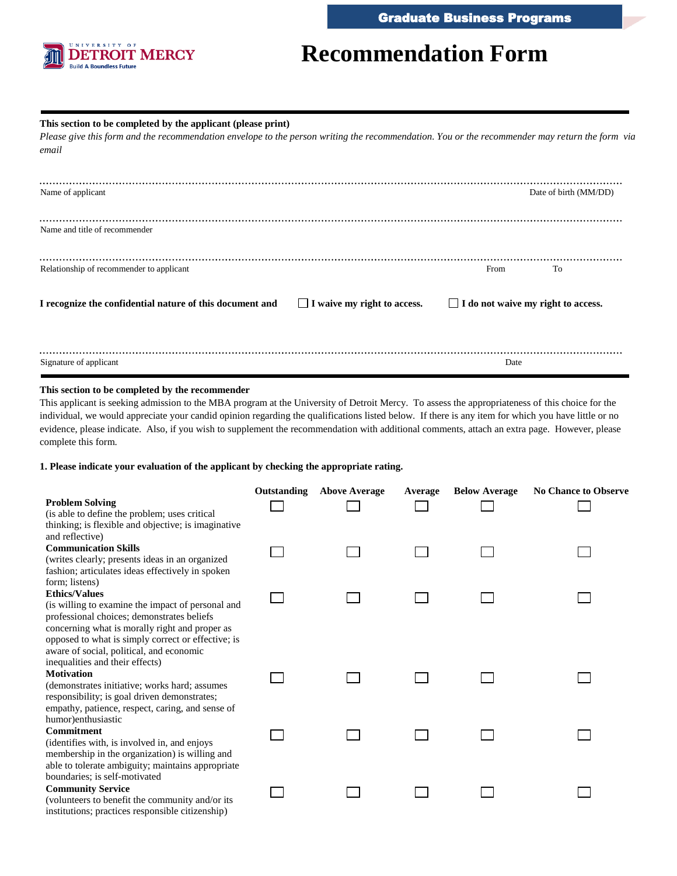

# **Recommendation Form**

## **This section to be completed by the applicant (please print)**

 *Please give this form and the recommendation envelope to the person writing the recommendation. You or the recommender may return the form via email* 

| Name of applicant                                        |                                    |                                           | Date of birth (MM/DD) |
|----------------------------------------------------------|------------------------------------|-------------------------------------------|-----------------------|
| Name and title of recommender                            |                                    |                                           |                       |
| Relationship of recommender to applicant                 |                                    | From                                      | To                    |
| I recognize the confidential nature of this document and | $\Box$ I waive my right to access. | $\Box$ I do not waive my right to access. |                       |
|                                                          |                                    |                                           |                       |
| Signature of applicant                                   |                                    | Date                                      |                       |

## **This section to be completed by the recommender**

 This applicant is seeking admission to the MBA program at the University of Detroit Mercy. To assess the appropriateness of this choice for the individual, we would appreciate your candid opinion regarding the qualifications listed below. If there is any item for which you have little or no evidence, please indicate. Also, if you wish to supplement the recommendation with additional comments, attach an extra page. However, please complete this form.

## **1. Please indicate your evaluation of the applicant by checking the appropriate rating.**

|                                                                                                | Outstanding | <b>Above Average</b> | Average | <b>Below Average</b> | <b>No Chance to Observe</b> |
|------------------------------------------------------------------------------------------------|-------------|----------------------|---------|----------------------|-----------------------------|
| <b>Problem Solving</b>                                                                         |             |                      |         |                      |                             |
| (is able to define the problem; uses critical                                                  |             |                      |         |                      |                             |
| thinking; is flexible and objective; is imaginative<br>and reflective)                         |             |                      |         |                      |                             |
| <b>Communication Skills</b>                                                                    |             |                      |         |                      |                             |
| (writes clearly; presents ideas in an organized                                                |             |                      |         |                      |                             |
| fashion; articulates ideas effectively in spoken                                               |             |                      |         |                      |                             |
| form; listens)                                                                                 |             |                      |         |                      |                             |
| <b>Ethics/Values</b>                                                                           |             |                      |         |                      |                             |
| (is willing to examine the impact of personal and                                              |             |                      |         |                      |                             |
| professional choices; demonstrates beliefs                                                     |             |                      |         |                      |                             |
| concerning what is morally right and proper as                                                 |             |                      |         |                      |                             |
| opposed to what is simply correct or effective; is<br>aware of social, political, and economic |             |                      |         |                      |                             |
| inequalities and their effects)                                                                |             |                      |         |                      |                             |
| <b>Motivation</b>                                                                              |             |                      |         |                      |                             |
| (demonstrates initiative; works hard; assumes                                                  |             |                      |         |                      |                             |
| responsibility; is goal driven demonstrates;                                                   |             |                      |         |                      |                             |
| empathy, patience, respect, caring, and sense of                                               |             |                      |         |                      |                             |
| humor)enthusiastic                                                                             |             |                      |         |                      |                             |
| <b>Commitment</b>                                                                              |             |                      |         |                      |                             |
| (identifies with, is involved in, and enjoys                                                   |             |                      |         |                      |                             |
| membership in the organization) is willing and                                                 |             |                      |         |                      |                             |
| able to tolerate ambiguity; maintains appropriate                                              |             |                      |         |                      |                             |
| boundaries; is self-motivated                                                                  |             |                      |         |                      |                             |
| <b>Community Service</b>                                                                       |             |                      |         |                      |                             |
| (volunteers to benefit the community and/or its                                                |             |                      |         |                      |                             |
| institutions; practices responsible citizenship)                                               |             |                      |         |                      |                             |